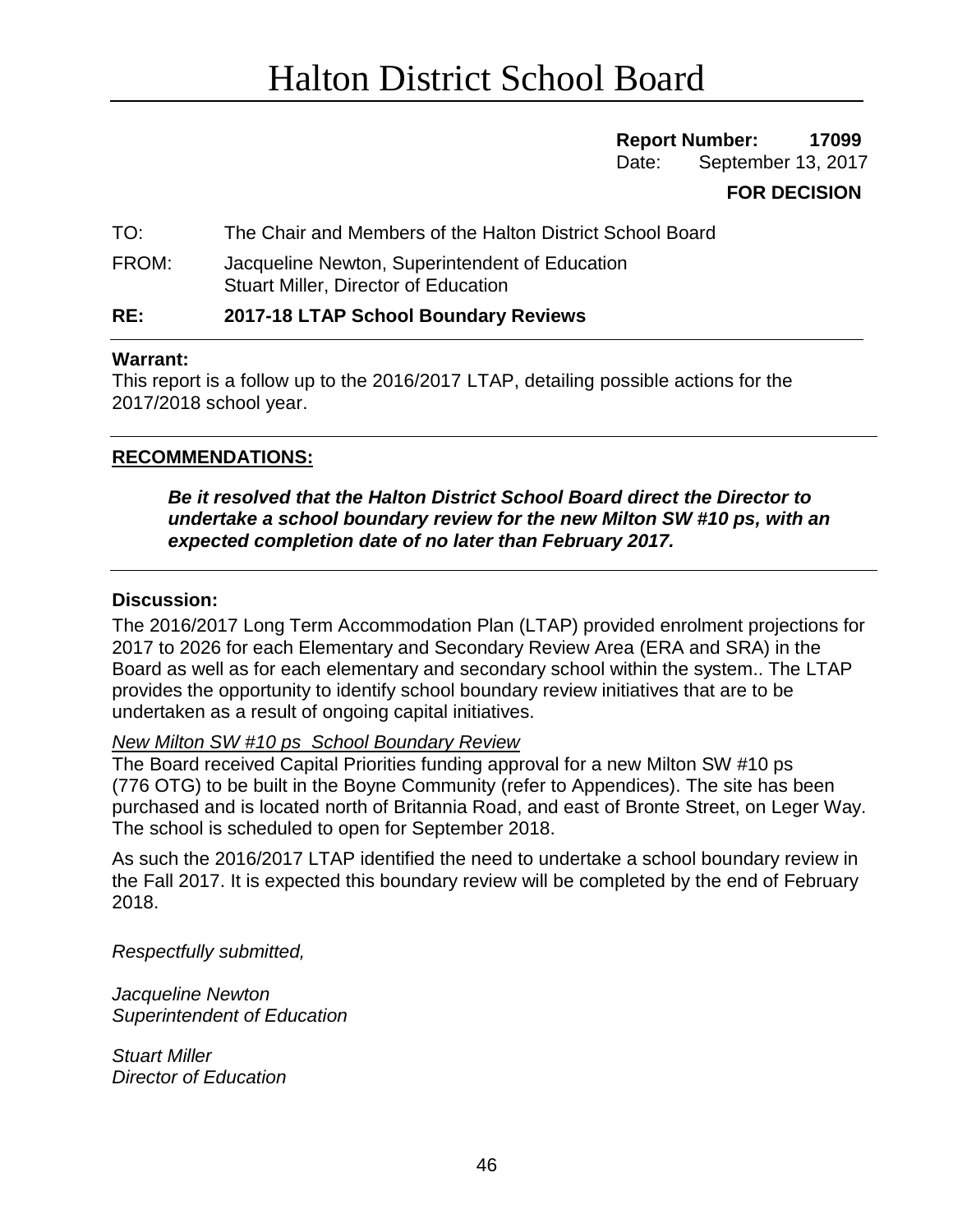# **Report Number: 17099**

Date: September 13, 2017

# **FOR DECISION**

TO: The Chair and Members of the Halton District School Board

FROM: Jacqueline Newton, Superintendent of Education Stuart Miller, Director of Education

## **RE: 2017-18 LTAP School Boundary Reviews**

#### **Warrant:**

This report is a follow up to the 2016/2017 LTAP, detailing possible actions for the 2017/2018 school year.

## **RECOMMENDATIONS:**

*Be it resolved that the Halton District School Board direct the Director to undertake a school boundary review for the new Milton SW #10 ps, with an expected completion date of no later than February 2017.* 

#### **Discussion:**

The 2016/2017 Long Term Accommodation Plan (LTAP) provided enrolment projections for 2017 to 2026 for each Elementary and Secondary Review Area (ERA and SRA) in the Board as well as for each elementary and secondary school within the system.. The LTAP provides the opportunity to identify school boundary review initiatives that are to be undertaken as a result of ongoing capital initiatives.

*New Milton SW #10 ps School Boundary Review*

The Board received Capital Priorities funding approval for a new Milton SW #10 ps (776 OTG) to be built in the Boyne Community (refer to Appendices). The site has been purchased and is located north of Britannia Road, and east of Bronte Street, on Leger Way. The school is scheduled to open for September 2018.

As such the 2016/2017 LTAP identified the need to undertake a school boundary review in the Fall 2017. It is expected this boundary review will be completed by the end of February 2018.

*Respectfully submitted,*

*Jacqueline Newton Superintendent of Education*

*Stuart Miller Director of Education*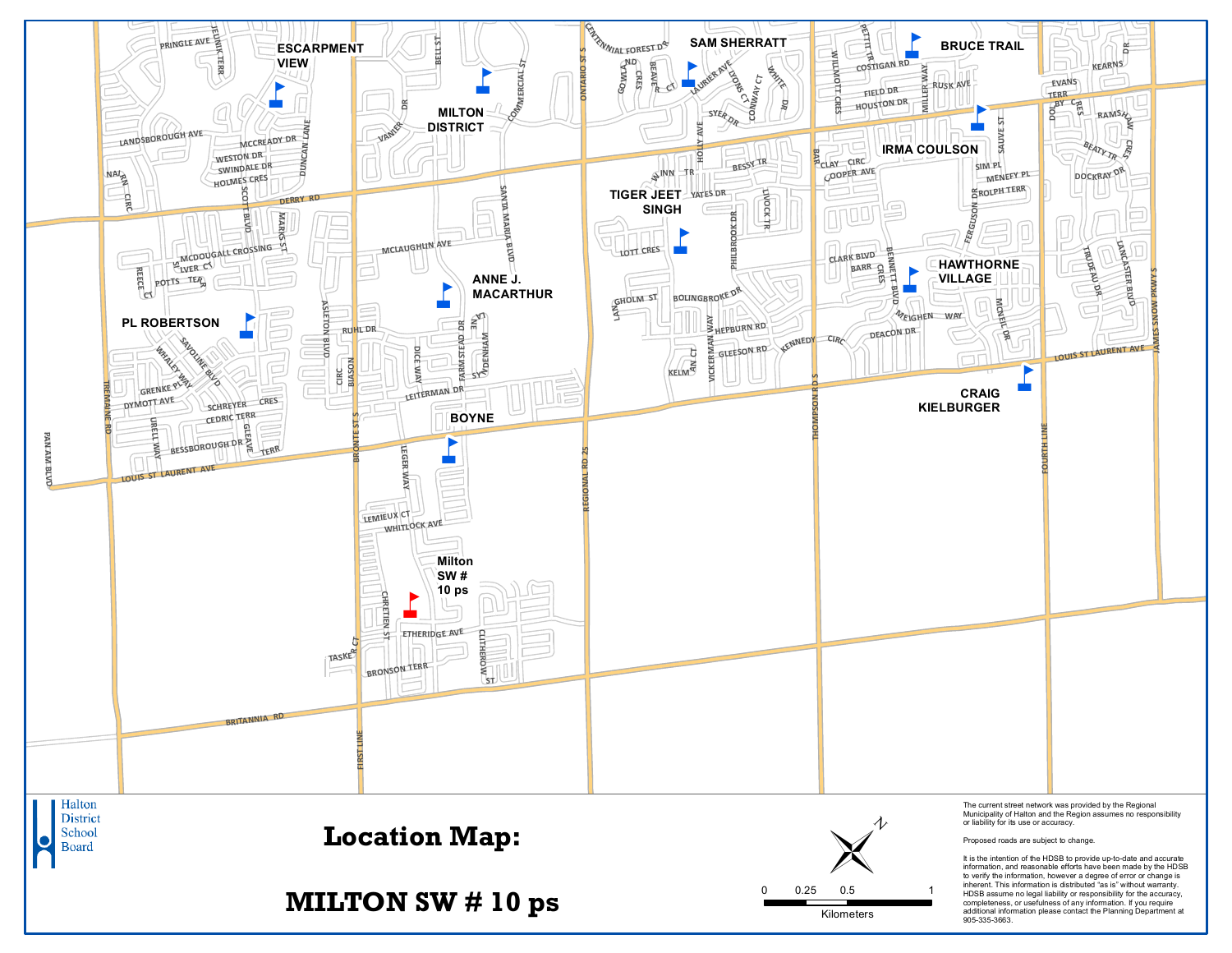